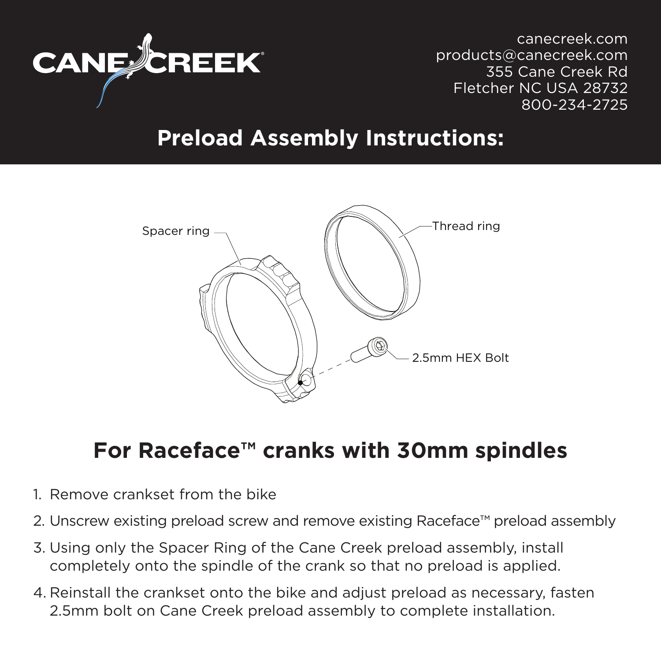

canecreek.com products@canecreek.com 355 Cane Creek Rd Fletcher NC USA 28732 800-234-2725

## **Preload Assembly Instructions:**



## **For Raceface™ cranks with 30mm spindles**

- 1. Remove crankset from the bike
- 2. Unscrew existing preload screw and remove existing Raceface™ preload assembly
- 3. Using only the Spacer Ring of the Cane Creek preload assembly, install completely onto the spindle of the crank so that no preload is applied.
- 4. Reinstall the crankset onto the bike and adjust preload as necessary, fasten 2.5mm bolt on Cane Creek preload assembly to complete installation.